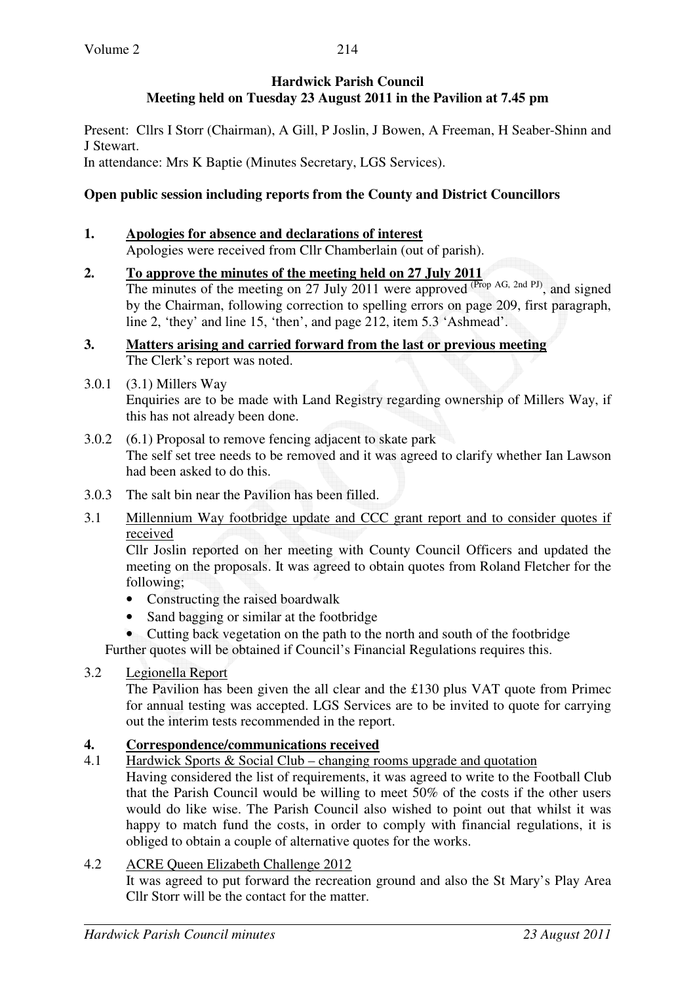## **Hardwick Parish Council Meeting held on Tuesday 23 August 2011 in the Pavilion at 7.45 pm**

Present: Cllrs I Storr (Chairman), A Gill, P Joslin, J Bowen, A Freeman, H Seaber-Shinn and J Stewart. In attendance: Mrs K Baptie (Minutes Secretary, LGS Services).

# **Open public session including reports from the County and District Councillors**

#### **1. Apologies for absence and declarations of interest** Apologies were received from Cllr Chamberlain (out of parish).

- **2. To approve the minutes of the meeting held on 27 July 2011**  The minutes of the meeting on 27 July 2011 were approved  $(Prop$  AG, 2nd PJ), and signed by the Chairman, following correction to spelling errors on page 209, first paragraph, line 2, 'they' and line 15, 'then', and page 212, item 5.3 'Ashmead'.
- **3. Matters arising and carried forward from the last or previous meeting**  The Clerk's report was noted.
- 3.0.1 (3.1) Millers Way Enquiries are to be made with Land Registry regarding ownership of Millers Way, if this has not already been done.
- 3.0.2 (6.1) Proposal to remove fencing adjacent to skate park The self set tree needs to be removed and it was agreed to clarify whether Ian Lawson had been asked to do this.
- 3.0.3 The salt bin near the Pavilion has been filled.
- 3.1 Millennium Way footbridge update and CCC grant report and to consider quotes if received

 Cllr Joslin reported on her meeting with County Council Officers and updated the meeting on the proposals. It was agreed to obtain quotes from Roland Fletcher for the following;

- Constructing the raised boardwalk
- Sand bagging or similar at the footbridge

• Cutting back vegetation on the path to the north and south of the footbridge

Further quotes will be obtained if Council's Financial Regulations requires this.

# 3.2 Legionella Report

The Pavilion has been given the all clear and the £130 plus VAT quote from Primec for annual testing was accepted. LGS Services are to be invited to quote for carrying out the interim tests recommended in the report.

# **4. Correspondence/communications received**<br>4.1 Hardwick Sports & Social Club – changing re

Hardwick Sports  $&$  Social Club – changing rooms upgrade and quotation

 Having considered the list of requirements, it was agreed to write to the Football Club that the Parish Council would be willing to meet 50% of the costs if the other users would do like wise. The Parish Council also wished to point out that whilst it was happy to match fund the costs, in order to comply with financial regulations, it is obliged to obtain a couple of alternative quotes for the works.

### 4.2 ACRE Queen Elizabeth Challenge 2012

 It was agreed to put forward the recreation ground and also the St Mary's Play Area Cllr Storr will be the contact for the matter.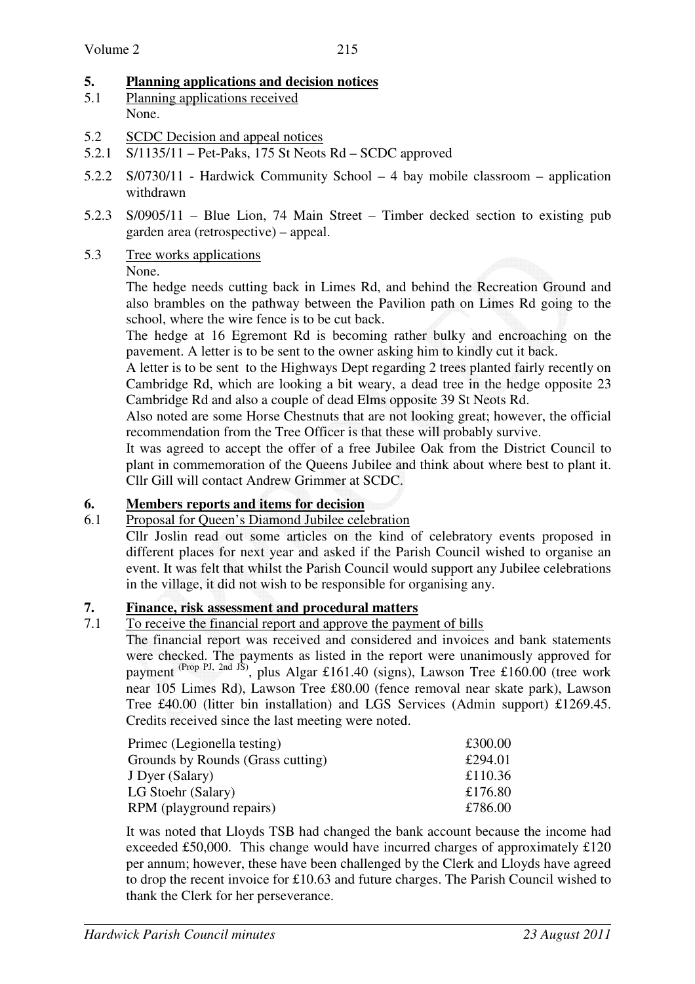# **5. Planning applications and decision notices**

- 5.1 Planning applications received None.
- 5.2 SCDC Decision and appeal notices
- 5.2.1 S/1135/11 Pet-Paks, 175 St Neots Rd SCDC approved
- 5.2.2 S/0730/11 Hardwick Community School 4 bay mobile classroom application withdrawn
- 5.2.3 S/0905/11 Blue Lion, 74 Main Street Timber decked section to existing pub garden area (retrospective) – appeal.
- 5.3 Tree works applications

# None.

The hedge needs cutting back in Limes Rd, and behind the Recreation Ground and also brambles on the pathway between the Pavilion path on Limes Rd going to the school, where the wire fence is to be cut back.

The hedge at 16 Egremont Rd is becoming rather bulky and encroaching on the pavement. A letter is to be sent to the owner asking him to kindly cut it back.

A letter is to be sent to the Highways Dept regarding 2 trees planted fairly recently on Cambridge Rd, which are looking a bit weary, a dead tree in the hedge opposite 23 Cambridge Rd and also a couple of dead Elms opposite 39 St Neots Rd.

Also noted are some Horse Chestnuts that are not looking great; however, the official recommendation from the Tree Officer is that these will probably survive.

It was agreed to accept the offer of a free Jubilee Oak from the District Council to plant in commemoration of the Queens Jubilee and think about where best to plant it. Cllr Gill will contact Andrew Grimmer at SCDC.

# **6. Members reports and items for decision**

# 6.1 Proposal for Queen's Diamond Jubilee celebration

Cllr Joslin read out some articles on the kind of celebratory events proposed in different places for next year and asked if the Parish Council wished to organise an event. It was felt that whilst the Parish Council would support any Jubilee celebrations in the village, it did not wish to be responsible for organising any.

# **7. Finance, risk assessment and procedural matters**

# 7.1 To receive the financial report and approve the payment of bills

The financial report was received and considered and invoices and bank statements were checked. The payments as listed in the report were unanimously approved for payment (Prop PJ, 2nd JS), plus Algar £161.40 (signs), Lawson Tree £160.00 (tree work near 105 Limes Rd), Lawson Tree £80.00 (fence removal near skate park), Lawson Tree £40.00 (litter bin installation) and LGS Services (Admin support) £1269.45. Credits received since the last meeting were noted.

| Primec (Legionella testing)       | £300.00 |
|-----------------------------------|---------|
| Grounds by Rounds (Grass cutting) | £294.01 |
| J Dyer (Salary)                   | £110.36 |
| LG Stoehr (Salary)                | £176.80 |
| RPM (playground repairs)          | £786.00 |

 It was noted that Lloyds TSB had changed the bank account because the income had exceeded £50,000. This change would have incurred charges of approximately £120 per annum; however, these have been challenged by the Clerk and Lloyds have agreed to drop the recent invoice for £10.63 and future charges. The Parish Council wished to thank the Clerk for her perseverance.